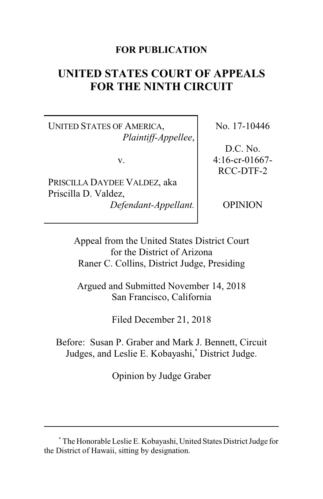# **FOR PUBLICATION**

# **UNITED STATES COURT OF APPEALS FOR THE NINTH CIRCUIT**

UNITED STATES OF AMERICA, *Plaintiff-Appellee*,

v.

PRISCILLA DAYDEE VALDEZ, aka Priscilla D. Valdez, *Defendant-Appellant.* No. 17-10446

D.C. No. 4:16-cr-01667- RCC-DTF-2

**OPINION** 

Appeal from the United States District Court for the District of Arizona Raner C. Collins, District Judge, Presiding

Argued and Submitted November 14, 2018 San Francisco, California

Filed December 21, 2018

Before: Susan P. Graber and Mark J. Bennett, Circuit Judges, and Leslie E. Kobayashi,**\*** District Judge.

Opinion by Judge Graber

**<sup>\*</sup>** The Honorable Leslie E. Kobayashi, United States District Judge for the District of Hawaii, sitting by designation.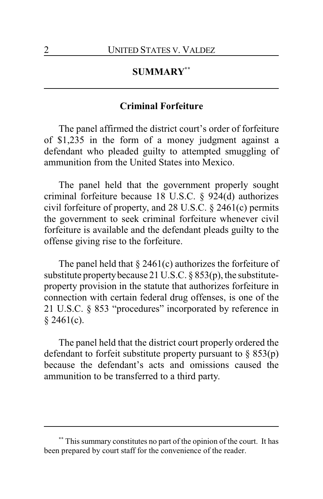# **SUMMARY\*\***

### **Criminal Forfeiture**

The panel affirmed the district court's order of forfeiture of \$1,235 in the form of a money judgment against a defendant who pleaded guilty to attempted smuggling of ammunition from the United States into Mexico.

The panel held that the government properly sought criminal forfeiture because 18 U.S.C. § 924(d) authorizes civil forfeiture of property, and 28 U.S.C. § 2461(c) permits the government to seek criminal forfeiture whenever civil forfeiture is available and the defendant pleads guilty to the offense giving rise to the forfeiture.

The panel held that  $\S$  2461(c) authorizes the forfeiture of substitute property because 21 U.S.C.  $\S 853(p)$ , the substituteproperty provision in the statute that authorizes forfeiture in connection with certain federal drug offenses, is one of the 21 U.S.C. § 853 "procedures" incorporated by reference in  $$2461(c).$ 

The panel held that the district court properly ordered the defendant to forfeit substitute property pursuant to  $\S$  853(p) because the defendant's acts and omissions caused the ammunition to be transferred to a third party.

**<sup>\*\*</sup>** This summary constitutes no part of the opinion of the court. It has been prepared by court staff for the convenience of the reader.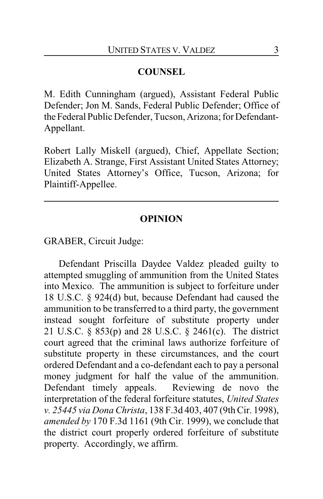# **COUNSEL**

M. Edith Cunningham (argued), Assistant Federal Public Defender; Jon M. Sands, Federal Public Defender; Office of the Federal Public Defender, Tucson, Arizona; for Defendant-Appellant.

Robert Lally Miskell (argued), Chief, Appellate Section; Elizabeth A. Strange, First Assistant United States Attorney; United States Attorney's Office, Tucson, Arizona; for Plaintiff-Appellee.

### **OPINION**

GRABER, Circuit Judge:

Defendant Priscilla Daydee Valdez pleaded guilty to attempted smuggling of ammunition from the United States into Mexico. The ammunition is subject to forfeiture under 18 U.S.C. § 924(d) but, because Defendant had caused the ammunition to be transferred to a third party, the government instead sought forfeiture of substitute property under 21 U.S.C. § 853(p) and 28 U.S.C. § 2461(c). The district court agreed that the criminal laws authorize forfeiture of substitute property in these circumstances, and the court ordered Defendant and a co-defendant each to pay a personal money judgment for half the value of the ammunition. Defendant timely appeals. Reviewing de novo the interpretation of the federal forfeiture statutes, *United States v. 25445 via Dona Christa*, 138 F.3d 403, 407 (9th Cir. 1998), *amended by* 170 F.3d 1161 (9th Cir. 1999), we conclude that the district court properly ordered forfeiture of substitute property. Accordingly, we affirm.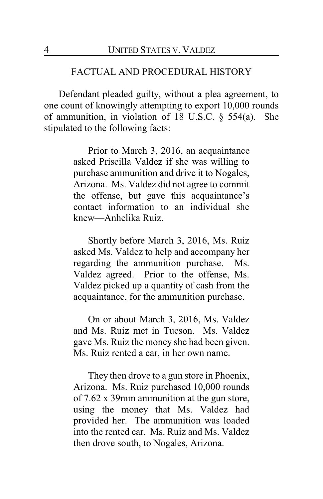#### FACTUAL AND PROCEDURAL HISTORY

Defendant pleaded guilty, without a plea agreement, to one count of knowingly attempting to export 10,000 rounds of ammunition, in violation of 18 U.S.C. § 554(a). She stipulated to the following facts:

> Prior to March 3, 2016, an acquaintance asked Priscilla Valdez if she was willing to purchase ammunition and drive it to Nogales, Arizona. Ms. Valdez did not agree to commit the offense, but gave this acquaintance's contact information to an individual she knew—Anhelika Ruiz.

> Shortly before March 3, 2016, Ms. Ruiz asked Ms. Valdez to help and accompany her regarding the ammunition purchase. Ms. Valdez agreed. Prior to the offense, Ms. Valdez picked up a quantity of cash from the acquaintance, for the ammunition purchase.

> On or about March 3, 2016, Ms. Valdez and Ms. Ruiz met in Tucson. Ms. Valdez gave Ms. Ruiz the money she had been given. Ms. Ruiz rented a car, in her own name.

> They then drove to a gun store in Phoenix, Arizona. Ms. Ruiz purchased 10,000 rounds of 7.62 x 39mm ammunition at the gun store, using the money that Ms. Valdez had provided her. The ammunition was loaded into the rented car. Ms. Ruiz and Ms. Valdez then drove south, to Nogales, Arizona.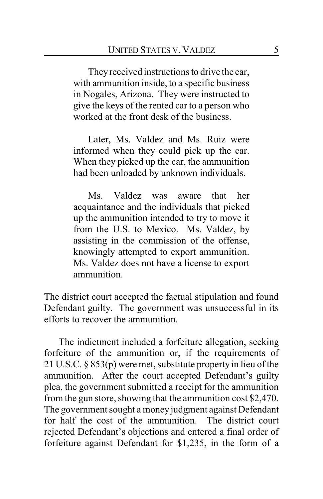Theyreceived instructions to drive the car, with ammunition inside, to a specific business in Nogales, Arizona. They were instructed to give the keys of the rented car to a person who worked at the front desk of the business.

Later, Ms. Valdez and Ms. Ruiz were informed when they could pick up the car. When they picked up the car, the ammunition had been unloaded by unknown individuals.

Ms. Valdez was aware that her acquaintance and the individuals that picked up the ammunition intended to try to move it from the U.S. to Mexico. Ms. Valdez, by assisting in the commission of the offense, knowingly attempted to export ammunition. Ms. Valdez does not have a license to export ammunition.

The district court accepted the factual stipulation and found Defendant guilty. The government was unsuccessful in its efforts to recover the ammunition.

The indictment included a forfeiture allegation, seeking forfeiture of the ammunition or, if the requirements of 21 U.S.C. § 853(p) were met, substitute property in lieu of the ammunition. After the court accepted Defendant's guilty plea, the government submitted a receipt for the ammunition from the gun store, showing that the ammunition cost \$2,470. The government sought a money judgment against Defendant for half the cost of the ammunition. The district court rejected Defendant's objections and entered a final order of forfeiture against Defendant for \$1,235, in the form of a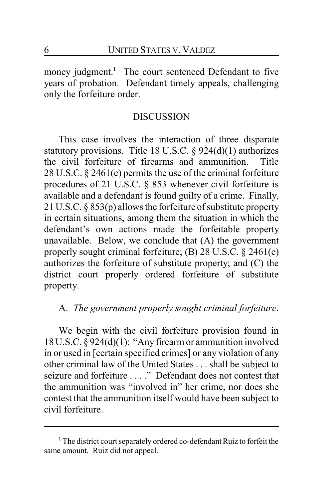money judgment.<sup>1</sup> The court sentenced Defendant to five years of probation. Defendant timely appeals, challenging only the forfeiture order.

# **DISCUSSION**

This case involves the interaction of three disparate statutory provisions. Title 18 U.S.C. § 924(d)(1) authorizes the civil forfeiture of firearms and ammunition. Title 28 U.S.C. § 2461(c) permits the use of the criminal forfeiture procedures of 21 U.S.C. § 853 whenever civil forfeiture is available and a defendant is found guilty of a crime. Finally, 21 U.S.C. § 853(p) allows the forfeiture of substitute property in certain situations, among them the situation in which the defendant's own actions made the forfeitable property unavailable. Below, we conclude that (A) the government properly sought criminal forfeiture; (B) 28 U.S.C. § 2461(c) authorizes the forfeiture of substitute property; and (C) the district court properly ordered forfeiture of substitute property.

# A. *The government properly sought criminal forfeiture*.

We begin with the civil forfeiture provision found in 18 U.S.C. § 924(d)(1): "Any firearm or ammunition involved in or used in [certain specified crimes] or any violation of any other criminal law of the United States . . . shall be subject to seizure and forfeiture . . . ." Defendant does not contest that the ammunition was "involved in" her crime, nor does she contest that the ammunition itself would have been subject to civil forfeiture.

<sup>&</sup>lt;sup>1</sup> The district court separately ordered co-defendant Ruiz to forfeit the same amount. Ruiz did not appeal.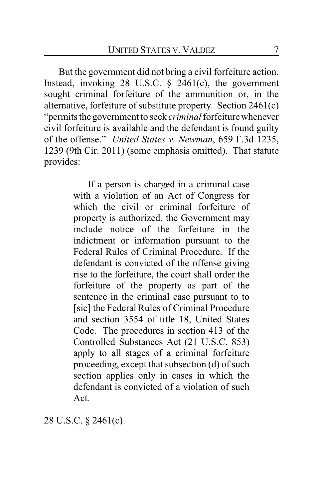But the government did not bring a civil forfeiture action. Instead, invoking 28 U.S.C. § 2461(c), the government sought criminal forfeiture of the ammunition or, in the alternative, forfeiture of substitute property. Section 2461(c) "permits the government to seek *criminal*forfeiture whenever civil forfeiture is available and the defendant is found guilty of the offense." *United States v. Newman*, 659 F.3d 1235, 1239 (9th Cir. 2011) (some emphasis omitted). That statute provides:

> If a person is charged in a criminal case with a violation of an Act of Congress for which the civil or criminal forfeiture of property is authorized, the Government may include notice of the forfeiture in the indictment or information pursuant to the Federal Rules of Criminal Procedure. If the defendant is convicted of the offense giving rise to the forfeiture, the court shall order the forfeiture of the property as part of the sentence in the criminal case pursuant to to [sic] the Federal Rules of Criminal Procedure and section 3554 of title 18, United States Code. The procedures in section 413 of the Controlled Substances Act (21 U.S.C. 853) apply to all stages of a criminal forfeiture proceeding, except that subsection (d) of such section applies only in cases in which the defendant is convicted of a violation of such Act.

28 U.S.C. § 2461(c).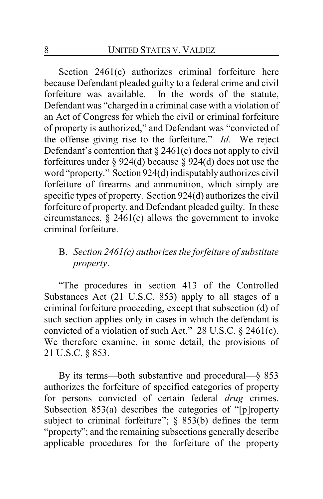Section 2461(c) authorizes criminal forfeiture here because Defendant pleaded guilty to a federal crime and civil forfeiture was available. In the words of the statute, Defendant was "charged in a criminal case with a violation of an Act of Congress for which the civil or criminal forfeiture of property is authorized," and Defendant was "convicted of the offense giving rise to the forfeiture." *Id.* We reject Defendant's contention that  $\S 2461(c)$  does not apply to civil forfeitures under § 924(d) because § 924(d) does not use the word "property." Section 924(d) indisputablyauthorizes civil forfeiture of firearms and ammunition, which simply are specific types of property. Section 924(d) authorizes the civil forfeiture of property, and Defendant pleaded guilty. In these circumstances,  $\S$  2461(c) allows the government to invoke criminal forfeiture.

# B. *Section 2461(c) authorizes the forfeiture of substitute property*.

"The procedures in section 413 of the Controlled Substances Act (21 U.S.C. 853) apply to all stages of a criminal forfeiture proceeding, except that subsection (d) of such section applies only in cases in which the defendant is convicted of a violation of such Act." 28 U.S.C. § 2461(c). We therefore examine, in some detail, the provisions of 21 U.S.C. § 853.

By its terms—both substantive and procedural—§ 853 authorizes the forfeiture of specified categories of property for persons convicted of certain federal *drug* crimes. Subsection 853(a) describes the categories of "[p]roperty subject to criminal forfeiture"; § 853(b) defines the term "property"; and the remaining subsections generally describe applicable procedures for the forfeiture of the property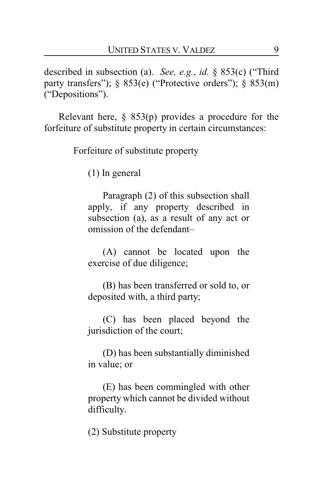described in subsection (a). *See, e.g.*, *id.* § 853(c) ("Third party transfers"); § 853(e) ("Protective orders"); § 853(m) ("Depositions").

Relevant here,  $\S$  853(p) provides a procedure for the forfeiture of substitute property in certain circumstances:

Forfeiture of substitute property

(1) In general

Paragraph (2) of this subsection shall apply, if any property described in subsection (a), as a result of any act or omission of the defendant–

(A) cannot be located upon the exercise of due diligence;

(B) has been transferred or sold to, or deposited with, a third party;

(C) has been placed beyond the jurisdiction of the court;

(D) has been substantially diminished in value; or

(E) has been commingled with other property which cannot be divided without difficulty.

(2) Substitute property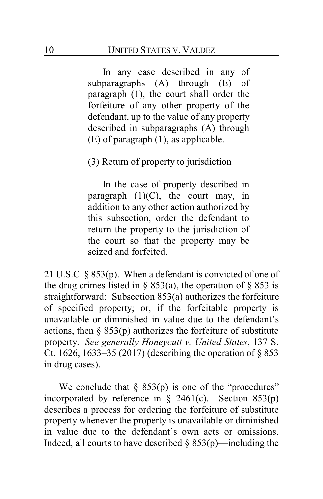In any case described in any of subparagraphs (A) through (E) of paragraph (1), the court shall order the forfeiture of any other property of the defendant, up to the value of any property described in subparagraphs (A) through (E) of paragraph (1), as applicable.

(3) Return of property to jurisdiction

In the case of property described in paragraph  $(1)(C)$ , the court may, in addition to any other action authorized by this subsection, order the defendant to return the property to the jurisdiction of the court so that the property may be seized and forfeited.

21 U.S.C. § 853(p). When a defendant is convicted of one of the drug crimes listed in § 853(a), the operation of § 853 is straightforward: Subsection 853(a) authorizes the forfeiture of specified property; or, if the forfeitable property is unavailable or diminished in value due to the defendant's actions, then  $\S$  853(p) authorizes the forfeiture of substitute property. *See generally Honeycutt v. United States*, 137 S. Ct. 1626, 1633–35 (2017) (describing the operation of § 853 in drug cases).

We conclude that  $\S$  853(p) is one of the "procedures" incorporated by reference in  $\S$  2461(c). Section 853(p) describes a process for ordering the forfeiture of substitute property whenever the property is unavailable or diminished in value due to the defendant's own acts or omissions. Indeed, all courts to have described  $\S$  853(p)—including the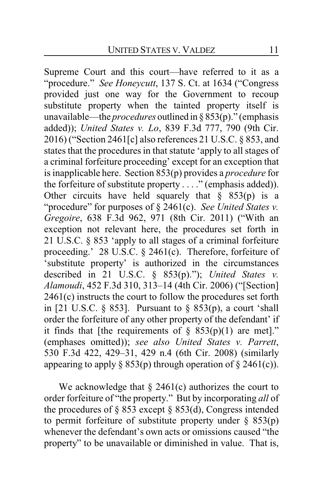Supreme Court and this court—have referred to it as a "procedure." *See Honeycutt*, 137 S. Ct. at 1634 ("Congress provided just one way for the Government to recoup substitute property when the tainted property itself is unavailable—the *procedures* outlined in § 853(p)." (emphasis added)); *United States v. Lo*, 839 F.3d 777, 790 (9th Cir. 2016) ("Section 2461[c] also references 21 U.S.C. § 853, and states that the procedures in that statute 'apply to all stages of a criminal forfeiture proceeding' except for an exception that is inapplicable here. Section 853(p) provides a *procedure* for the forfeiture of substitute property . . . ." (emphasis added)). Other circuits have held squarely that  $\S$  853(p) is a "procedure" for purposes of § 2461(c). *See United States v. Gregoire*, 638 F.3d 962, 971 (8th Cir. 2011) ("With an exception not relevant here, the procedures set forth in 21 U.S.C. § 853 'apply to all stages of a criminal forfeiture proceeding.' 28 U.S.C. § 2461(c). Therefore, forfeiture of 'substitute property' is authorized in the circumstances described in 21 U.S.C. § 853(p)."); *United States v. Alamoudi*, 452 F.3d 310, 313–14 (4th Cir. 2006) ("[Section] 2461(c) instructs the court to follow the procedures set forth in [21 U.S.C.  $\S$  853]. Pursuant to  $\S$  853(p), a court 'shall order the forfeiture of any other property of the defendant' if it finds that [the requirements of  $\S$  853(p)(1) are met]." (emphases omitted)); *see also United States v. Parrett*, 530 F.3d 422, 429–31, 429 n.4 (6th Cir. 2008) (similarly appearing to apply  $\S$  853(p) through operation of  $\S$  2461(c)).

We acknowledge that  $\S$  2461(c) authorizes the court to order forfeiture of "the property." But by incorporating *all* of the procedures of  $\S$  853 except  $\S$  853(d), Congress intended to permit forfeiture of substitute property under  $\S$  853(p) whenever the defendant's own acts or omissions caused "the property" to be unavailable or diminished in value. That is,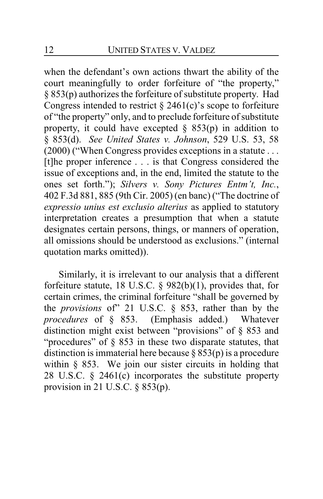when the defendant's own actions thwart the ability of the court meaningfully to order forfeiture of "the property," § 853(p) authorizes the forfeiture of substitute property. Had Congress intended to restrict  $\S$  2461(c)'s scope to forfeiture of "the property" only, and to preclude forfeiture of substitute property, it could have excepted  $\S$  853(p) in addition to § 853(d). *See United States v. Johnson*, 529 U.S. 53, 58 (2000) ("When Congress provides exceptions in a statute . . . [t]he proper inference . . . is that Congress considered the issue of exceptions and, in the end, limited the statute to the ones set forth."); *Silvers v. Sony Pictures Entm't, Inc.*, 402 F.3d 881, 885 (9th Cir. 2005) (en banc) ("The doctrine of *expressio unius est exclusio alterius* as applied to statutory interpretation creates a presumption that when a statute designates certain persons, things, or manners of operation, all omissions should be understood as exclusions." (internal quotation marks omitted)).

Similarly, it is irrelevant to our analysis that a different forfeiture statute, 18 U.S.C. § 982(b)(1), provides that, for certain crimes, the criminal forfeiture "shall be governed by the *provisions* of" 21 U.S.C. § 853, rather than by the *procedures* of § 853. (Emphasis added.) Whatever distinction might exist between "provisions" of § 853 and "procedures" of § 853 in these two disparate statutes, that distinction is immaterial here because  $\S$  853(p) is a procedure within  $\S$  853. We join our sister circuits in holding that 28 U.S.C. § 2461(c) incorporates the substitute property provision in 21 U.S.C.  $\S$  853(p).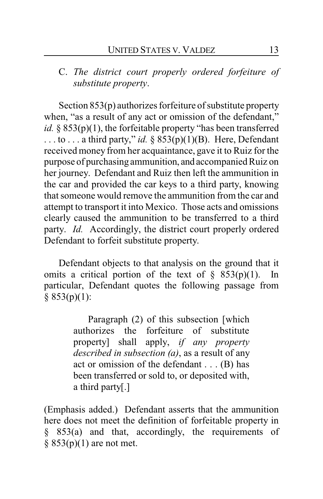C. *The district court properly ordered forfeiture of substitute property*.

Section 853(p) authorizes forfeiture of substitute property when, "as a result of any act or omission of the defendant," *id.*  $\S$  853(p)(1), the forfeitable property "has been transferred ... to ... a third party," *id.* §  $853(p)(1)(B)$ . Here, Defendant received money from her acquaintance, gave it to Ruiz for the purpose of purchasing ammunition, and accompanied Ruiz on her journey. Defendant and Ruiz then left the ammunition in the car and provided the car keys to a third party, knowing that someone would remove the ammunition from the car and attempt to transport it into Mexico. Those acts and omissions clearly caused the ammunition to be transferred to a third party. *Id.* Accordingly, the district court properly ordered Defendant to forfeit substitute property.

Defendant objects to that analysis on the ground that it omits a critical portion of the text of  $\S$  853(p)(1). In particular, Defendant quotes the following passage from  $§ 853(p)(1):$ 

> Paragraph (2) of this subsection [which authorizes the forfeiture of substitute property] shall apply, *if any property described in subsection (a)*, as a result of any act or omission of the defendant . . . (B) has been transferred or sold to, or deposited with, a third party[.]

(Emphasis added.) Defendant asserts that the ammunition here does not meet the definition of forfeitable property in § 853(a) and that, accordingly, the requirements of  $§ 853(p)(1)$  are not met.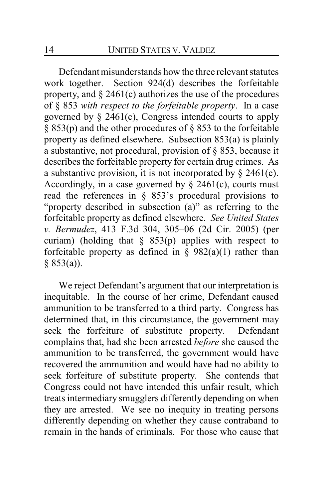Defendant misunderstands how the three relevant statutes work together. Section 924(d) describes the forfeitable property, and  $\S 2461(c)$  authorizes the use of the procedures of § 853 *with respect to the forfeitable property*. In a case governed by  $\S$  2461(c), Congress intended courts to apply  $\S$  853(p) and the other procedures of  $\S$  853 to the forfeitable property as defined elsewhere. Subsection 853(a) is plainly a substantive, not procedural, provision of § 853, because it describes the forfeitable property for certain drug crimes. As a substantive provision, it is not incorporated by  $\S$  2461(c). Accordingly, in a case governed by  $\S$  2461(c), courts must read the references in § 853's procedural provisions to "property described in subsection (a)" as referring to the forfeitable property as defined elsewhere. *See United States v. Bermudez*, 413 F.3d 304, 305–06 (2d Cir. 2005) (per curiam) (holding that  $\S$  853(p) applies with respect to forfeitable property as defined in  $\S$  982(a)(1) rather than § 853(a)).

We reject Defendant's argument that our interpretation is inequitable. In the course of her crime, Defendant caused ammunition to be transferred to a third party. Congress has determined that, in this circumstance, the government may seek the forfeiture of substitute property. Defendant complains that, had she been arrested *before* she caused the ammunition to be transferred, the government would have recovered the ammunition and would have had no ability to seek forfeiture of substitute property. She contends that Congress could not have intended this unfair result, which treats intermediary smugglers differently depending on when they are arrested. We see no inequity in treating persons differently depending on whether they cause contraband to remain in the hands of criminals. For those who cause that